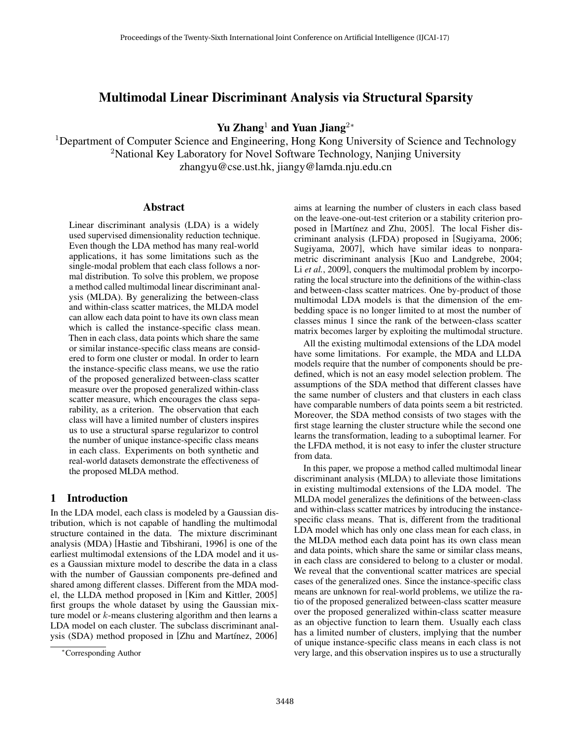# Multimodal Linear Discriminant Analysis via Structural Sparsity

Yu Zhang<sup>1</sup> and Yuan Jiang<sup>2∗</sup>

<sup>1</sup>Department of Computer Science and Engineering, Hong Kong University of Science and Technology <sup>2</sup>National Key Laboratory for Novel Software Technology, Nanjing University zhangyu@cse.ust.hk, jiangy@lamda.nju.edu.cn

### Abstract

Linear discriminant analysis (LDA) is a widely used supervised dimensionality reduction technique. Even though the LDA method has many real-world applications, it has some limitations such as the single-modal problem that each class follows a normal distribution. To solve this problem, we propose a method called multimodal linear discriminant analysis (MLDA). By generalizing the between-class and within-class scatter matrices, the MLDA model can allow each data point to have its own class mean which is called the instance-specific class mean. Then in each class, data points which share the same or similar instance-specific class means are considered to form one cluster or modal. In order to learn the instance-specific class means, we use the ratio of the proposed generalized between-class scatter measure over the proposed generalized within-class scatter measure, which encourages the class separability, as a criterion. The observation that each class will have a limited number of clusters inspires us to use a structural sparse regularizor to control the number of unique instance-specific class means in each class. Experiments on both synthetic and real-world datasets demonstrate the effectiveness of the proposed MLDA method.

# 1 Introduction

In the LDA model, each class is modeled by a Gaussian distribution, which is not capable of handling the multimodal structure contained in the data. The mixture discriminant analysis (MDA) [Hastie and Tibshirani, 1996] is one of the earliest multimodal extensions of the LDA model and it uses a Gaussian mixture model to describe the data in a class with the number of Gaussian components pre-defined and shared among different classes. Different from the MDA model, the LLDA method proposed in [Kim and Kittler, 2005] first groups the whole dataset by using the Gaussian mixture model or  $k$ -means clustering algorithm and then learns a LDA model on each cluster. The subclass discriminant analysis (SDA) method proposed in [Zhu and Martínez, 2006]

aims at learning the number of clusters in each class based on the leave-one-out-test criterion or a stability criterion proposed in [Martínez and Zhu, 2005]. The local Fisher discriminant analysis (LFDA) proposed in [Sugiyama, 2006; Sugiyama, 2007], which have similar ideas to nonparametric discriminant analysis [Kuo and Landgrebe, 2004; Li *et al.*, 2009], conquers the multimodal problem by incorporating the local structure into the definitions of the within-class and between-class scatter matrices. One by-product of those multimodal LDA models is that the dimension of the embedding space is no longer limited to at most the number of classes minus 1 since the rank of the between-class scatter matrix becomes larger by exploiting the multimodal structure.

All the existing multimodal extensions of the LDA model have some limitations. For example, the MDA and LLDA models require that the number of components should be predefined, which is not an easy model selection problem. The assumptions of the SDA method that different classes have the same number of clusters and that clusters in each class have comparable numbers of data points seem a bit restricted. Moreover, the SDA method consists of two stages with the first stage learning the cluster structure while the second one learns the transformation, leading to a suboptimal learner. For the LFDA method, it is not easy to infer the cluster structure from data.

In this paper, we propose a method called multimodal linear discriminant analysis (MLDA) to alleviate those limitations in existing multimodal extensions of the LDA model. The MLDA model generalizes the definitions of the between-class and within-class scatter matrices by introducing the instancespecific class means. That is, different from the traditional LDA model which has only one class mean for each class, in the MLDA method each data point has its own class mean and data points, which share the same or similar class means, in each class are considered to belong to a cluster or modal. We reveal that the conventional scatter matrices are special cases of the generalized ones. Since the instance-specific class means are unknown for real-world problems, we utilize the ratio of the proposed generalized between-class scatter measure over the proposed generalized within-class scatter measure as an objective function to learn them. Usually each class has a limited number of clusters, implying that the number of unique instance-specific class means in each class is not very large, and this observation inspires us to use a structurally

<sup>∗</sup>Corresponding Author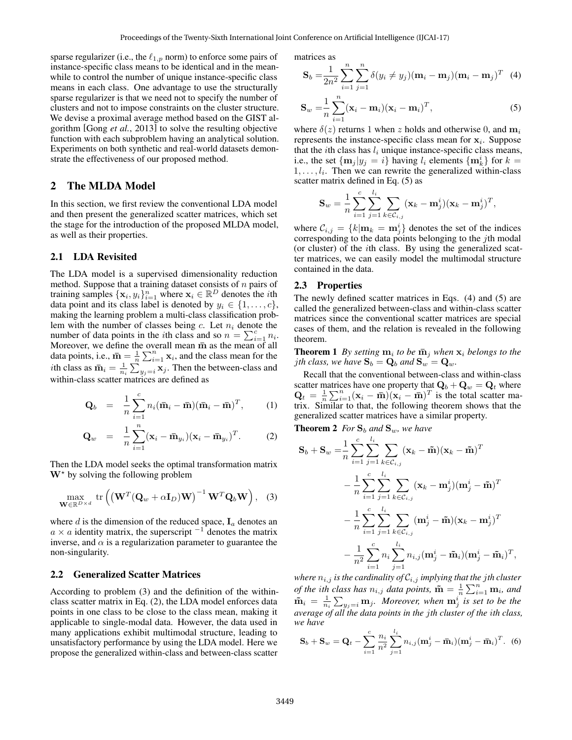sparse regularizer (i.e., the  $\ell_{1,p}$  norm) to enforce some pairs of instance-specific class means to be identical and in the meanwhile to control the number of unique instance-specific class means in each class. One advantage to use the structurally sparse regularizer is that we need not to specify the number of clusters and not to impose constraints on the cluster structure. We devise a proximal average method based on the GIST algorithm [Gong *et al.*, 2013] to solve the resulting objective function with each subproblem having an analytical solution. Experiments on both synthetic and real-world datasets demonstrate the effectiveness of our proposed method.

# 2 The MLDA Model

In this section, we first review the conventional LDA model and then present the generalized scatter matrices, which set the stage for the introduction of the proposed MLDA model, as well as their properties.

### 2.1 LDA Revisited

The LDA model is a supervised dimensionality reduction method. Suppose that a training dataset consists of  $n$  pairs of training samples  $\{x_i, y_i\}_{i=1}^n$  where  $x_i \in \mathbb{R}^D$  denotes the *i*th data point and its class label is denoted by  $y_i \in \{1, \ldots, c\}$ , making the learning problem a multi-class classification problem with the number of classes being c. Let  $n_i$  denote the number of data points in the *i*th class and so  $n = \sum_{i=1}^{c} n_i$ . Moreover, we define the overall mean  $\bar{m}$  as the mean of all data points, i.e.,  $\bar{m} = \frac{1}{n} \sum_{i=1}^{n} x_i$ , and the class mean for the *i*th class as  $\bar{m}_i = \frac{1}{n_i} \sum_{y_j=i} x_j$ . Then the between-class and within-class scatter matrices are defined as

$$
\mathbf{Q}_b = \frac{1}{n} \sum_{i=1}^c n_i (\mathbf{\bar{m}}_i - \mathbf{\bar{m}})(\mathbf{\bar{m}}_i - \mathbf{\bar{m}})^T, \quad (1)
$$

$$
\mathbf{Q}_w = \frac{1}{n} \sum_{i=1}^n (\mathbf{x}_i - \bar{\mathbf{m}}_{y_i}) (\mathbf{x}_i - \bar{\mathbf{m}}_{y_i})^T. \tag{2}
$$

Then the LDA model seeks the optimal transformation matrix  $W^*$  by solving the following problem

$$
\max_{\mathbf{W}\in\mathbb{R}^{D\times d}} \text{tr}\left( \left( \mathbf{W}^T (\mathbf{Q}_w + \alpha \mathbf{I}_D) \mathbf{W} \right)^{-1} \mathbf{W}^T \mathbf{Q}_b \mathbf{W} \right), \quad (3)
$$

where d is the dimension of the reduced space,  $I_a$  denotes an  $a \times a$  identity matrix, the superscript  $^{-1}$  denotes the matrix inverse, and  $\alpha$  is a regularization parameter to guarantee the non-singularity.

### 2.2 Generalized Scatter Matrices

According to problem (3) and the definition of the withinclass scatter matrix in Eq. (2), the LDA model enforces data points in one class to be close to the class mean, making it applicable to single-modal data. However, the data used in many applications exhibit multimodal structure, leading to unsatisfactory performance by using the LDA model. Here we propose the generalized within-class and between-class scatter

matrices as

$$
\mathbf{S}_{b} = \frac{1}{2n^{2}} \sum_{i=1}^{n} \sum_{j=1}^{n} \delta(y_{i} \neq y_{j}) (\mathbf{m}_{i} - \mathbf{m}_{j}) (\mathbf{m}_{i} - \mathbf{m}_{j})^{T} (4)
$$

$$
\mathbf{S}_w = \frac{1}{n} \sum_{i=1}^n (\mathbf{x}_i - \mathbf{m}_i)(\mathbf{x}_i - \mathbf{m}_i)^T,
$$
\n(5)

where  $\delta(z)$  returns 1 when z holds and otherwise 0, and  $m_i$ represents the instance-specific class mean for  $x_i$ . Suppose that the *i*th class has  $l_i$  unique instance-specific class means, i.e., the set  $\{\mathbf m_j | y_j = i\}$  having  $l_i$  elements  $\{\mathbf m_k^i\}$  for  $k =$  $1, \ldots, l_i$ . Then we can rewrite the generalized within-class scatter matrix defined in Eq. (5) as

$$
\mathbf{S}_{w} = \frac{1}{n} \sum_{i=1}^{c} \sum_{j=1}^{l_i} \sum_{k \in \mathcal{C}_{i,j}} (\mathbf{x}_k - \mathbf{m}_j^i) (\mathbf{x}_k - \mathbf{m}_j^i)^T,
$$

where  $\mathcal{C}_{i,j} = \{k | \mathbf{m}_k = \mathbf{m}_j^i\}$  denotes the set of the indices corresponding to the data points belonging to the jth modal (or cluster) of the ith class. By using the generalized scatter matrices, we can easily model the multimodal structure contained in the data.

#### 2.3 Properties

The newly defined scatter matrices in Eqs. (4) and (5) are called the generalized between-class and within-class scatter matrices since the conventional scatter matrices are special cases of them, and the relation is revealed in the following theorem.

**Theorem 1** By setting  $\mathbf{m}_i$  to be  $\bar{\mathbf{m}}_j$  when  $\mathbf{x}_i$  belongs to the *j*th class, we have  $S_b = Q_b$  and  $S_w = Q_w$ .

Recall that the conventional between-class and within-class scatter matrices have one property that  $\mathbf{Q}_b + \mathbf{Q}_w = \mathbf{Q}_t$  where  $\mathbf{Q}_t = \frac{1}{n} \sum_{i=1}^n (\mathbf{x}_i - \bar{\mathbf{m}})(\mathbf{x}_i - \bar{\mathbf{m}})^T$  is the total scatter matrix. Similar to that, the following theorem shows that the generalized scatter matrices have a similar property.

**Theorem 2** *For*  $S_b$  *and*  $S_w$ *, we have* 

$$
\mathbf{S}_{b} + \mathbf{S}_{w} = \frac{1}{n} \sum_{i=1}^{c} \sum_{j=1}^{l_{i}} \sum_{k \in C_{i,j}} (\mathbf{x}_{k} - \tilde{\mathbf{m}}) (\mathbf{x}_{k} - \tilde{\mathbf{m}})^{T}
$$
  

$$
- \frac{1}{n} \sum_{i=1}^{c} \sum_{j=1}^{l_{i}} \sum_{k \in C_{i,j}} (\mathbf{x}_{k} - \mathbf{m}_{j}^{i}) (\mathbf{m}_{j}^{i} - \tilde{\mathbf{m}})^{T}
$$
  

$$
- \frac{1}{n} \sum_{i=1}^{c} \sum_{j=1}^{l_{i}} \sum_{k \in C_{i,j}} (\mathbf{m}_{j}^{i} - \tilde{\mathbf{m}}) (\mathbf{x}_{k} - \mathbf{m}_{j}^{i})^{T}
$$
  

$$
- \frac{1}{n^{2}} \sum_{i=1}^{c} n_{i} \sum_{j=1}^{l_{i}} n_{i,j} (\mathbf{m}_{j}^{i} - \tilde{\mathbf{m}}_{i}) (\mathbf{m}_{j}^{i} - \tilde{\mathbf{m}}_{i})^{T},
$$

*where*  $n_{i,j}$  *is the cardinality of*  $C_{i,j}$  *implying that the jth cluster of the ith class has*  $n_{i,j}$  *data points,*  $\tilde{m} = \frac{1}{n} \sum_{i=1}^{n} m_i$ *, and*  $\tilde{\mathbf{m}}_i = \frac{1}{n_i} \sum_{y_j=i} \mathbf{m}_j$ *. Moreover, when*  $\mathbf{m}_j^i$  is set to be the *average of all the data points in the* j*th cluster of the* i*th class, we have*

$$
\mathbf{S}_b + \mathbf{S}_w = \mathbf{Q}_t - \sum_{i=1}^c \frac{n_i}{n^2} \sum_{j=1}^{l_i} n_{i,j} (\mathbf{m}_j^i - \mathbf{\bar{m}}_i) (\mathbf{m}_j^i - \mathbf{\bar{m}}_i)^T.
$$
 (6)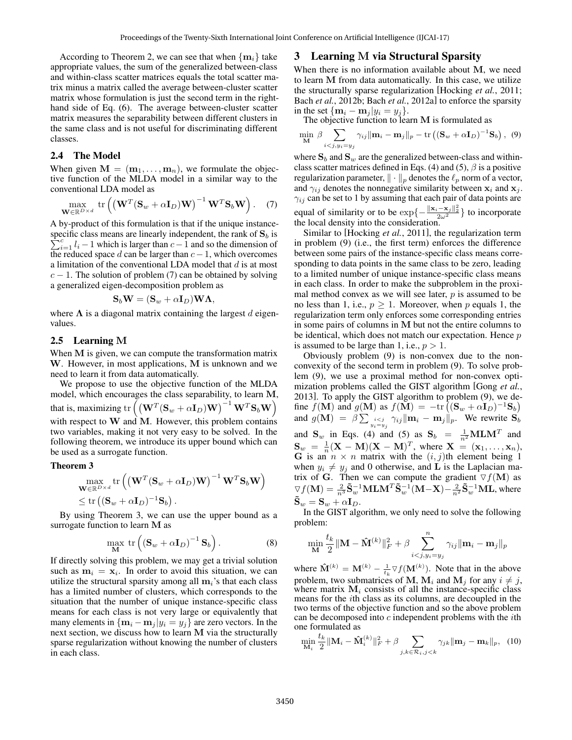According to Theorem 2, we can see that when  $\{m_i\}$  take appropriate values, the sum of the generalized between-class and within-class scatter matrices equals the total scatter matrix minus a matrix called the average between-cluster scatter matrix whose formulation is just the second term in the righthand side of Eq. (6). The average between-cluster scatter matrix measures the separability between different clusters in the same class and is not useful for discriminating different classes.

#### 2.4 The Model

When given  $\mathbf{M} = (\mathbf{m}_1, \dots, \mathbf{m}_n)$ , we formulate the objective function of the MLDA model in a similar way to the conventional LDA model as

$$
\max_{\mathbf{W}\in\mathbb{R}^{D\times d}} \text{tr}\left( \left( \mathbf{W}^T (\mathbf{S}_w + \alpha \mathbf{I}_D) \mathbf{W} \right)^{-1} \mathbf{W}^T \mathbf{S}_b \mathbf{W} \right). \quad (7)
$$

A by-product of this formulation is that if the unique instancespecific class means are linearly independent, the rank of  $\mathbf{S}_b$  is  $\sum_{i=1}^{c} l_i - 1$  which is larger than  $c-1$  and so the dimension of the reduced space d can be larger than  $c-1$ , which overcomes a limitation of the conventional LDA model that  $d$  is at most  $c - 1$ . The solution of problem (7) can be obtained by solving a generalized eigen-decomposition problem as

$$
\mathbf{S}_b \mathbf{W} = (\mathbf{S}_w + \alpha \mathbf{I}_D) \mathbf{W} \mathbf{\Lambda},
$$

where  $\Lambda$  is a diagonal matrix containing the largest d eigenvalues.

### 2.5 Learning M

When M is given, we can compute the transformation matrix W. However, in most applications, M is unknown and we need to learn it from data automatically.

We propose to use the objective function of the MLDA model, which encourages the class separability, to learn M, that is, maximizing  $\mathrm{tr}\left(\left(\mathbf{W}^T(\mathbf{S}_w+\alpha \mathbf{I}_D)\mathbf{W}\right)^{-1}\mathbf{W}^T\mathbf{S}_b\mathbf{W}\right)$ with respect to  $W$  and  $M$ . However, this problem contains two variables, making it not very easy to be solved. In the following theorem, we introduce its upper bound which can be used as a surrogate function.

#### Theorem 3

$$
\max_{\mathbf{W}\in\mathbb{R}^{D\times d}} \text{tr}\left(\left(\mathbf{W}^T(\mathbf{S}_w + \alpha \mathbf{I}_D)\mathbf{W}\right)^{-1}\mathbf{W}^T\mathbf{S}_b\mathbf{W}\right) \le \text{tr}\left((\mathbf{S}_w + \alpha \mathbf{I}_D)^{-1}\mathbf{S}_b\right).
$$

By using Theorem 3, we can use the upper bound as a surrogate function to learn M as

$$
\max_{\mathbf{M}} \, \text{tr}\left( \left( \mathbf{S}_w + \alpha \mathbf{I}_D \right)^{-1} \mathbf{S}_b \right). \tag{8}
$$

If directly solving this problem, we may get a trivial solution such as  $m_i = x_i$ . In order to avoid this situation, we can utilize the structural sparsity among all  $m<sub>i</sub>$ 's that each class has a limited number of clusters, which corresponds to the situation that the number of unique instance-specific class means for each class is not very large or equivalently that many elements in  ${\bf \{m_i - m_j |} y_i = y_j\}$  are zero vectors. In the next section, we discuss how to learn M via the structurally sparse regularization without knowing the number of clusters in each class.

### 3 Learning M via Structural Sparsity

When there is no information available about M, we need to learn M from data automatically. In this case, we utilize the structurally sparse regularization [Hocking *et al.*, 2011; Bach *et al.*, 2012b; Bach *et al.*, 2012a] to enforce the sparsity in the set  ${\mathbf{m}_i - \mathbf{m}_j | y_i = y_j}.$ 

The objective function to learn M is formulated as

$$
\min_{\mathbf{M}} \ \beta \sum_{i < j, y_i = y_j} \gamma_{ij} ||\mathbf{m}_i - \mathbf{m}_j||_p - \text{tr}\left( (\mathbf{S}_w + \alpha \mathbf{I}_D)^{-1} \mathbf{S}_b \right), \tag{9}
$$

where  $S_b$  and  $S_w$  are the generalized between-class and withinclass scatter matrices defined in Eqs. (4) and (5),  $\beta$  is a positive regularization parameter,  $\|\cdot\|_p$  denotes the  $\ell_p$  norm of a vector, and  $\gamma_{ij}$  denotes the nonnegative similarity between  $x_i$  and  $x_j$ .  $\gamma_{ij}$  can be set to 1 by assuming that each pair of data points are equal of similarity or to be  $\exp\left\{-\frac{\|\mathbf{x}_i - \mathbf{x}_j\|_2^2}{2\omega^2}\right\}$  to incorporate the local density into the consideration.

Similar to [Hocking *et al.*, 2011], the regularization term in problem (9) (i.e., the first term) enforces the difference between some pairs of the instance-specific class means corresponding to data points in the same class to be zero, leading to a limited number of unique instance-specific class means in each class. In order to make the subproblem in the proximal method convex as we will see later,  $p$  is assumed to be no less than 1, i.e.,  $p \geq 1$ . Moreover, when p equals 1, the regularization term only enforces some corresponding entries in some pairs of columns in M but not the entire columns to be identical, which does not match our expectation. Hence  $p$ is assumed to be large than 1, i.e.,  $p > 1$ .

Obviously problem (9) is non-convex due to the nonconvexity of the second term in problem (9). To solve problem (9), we use a proximal method for non-convex optimization problems called the GIST algorithm [Gong *et al.*, 2013]. To apply the GIST algorithm to problem (9), we define  $f(\mathbf{M})$  and  $g(\mathbf{M})$  as  $f(\mathbf{M}) = -\text{tr} \left( (\mathbf{S}_w + \alpha \mathbf{I}_D)^{-1} \mathbf{S}_b \right)$ and  $g(\mathbf{M}) = \beta \sum_{\substack{i \leq j \\ y_i = y_j}} \gamma_{ij} ||\mathbf{m}_i - \mathbf{m}_j||_p$ . We rewrite  $\mathbf{S}_b$ and  $S_w$  in Eqs. (4) and (5) as  $S_b = \frac{1}{n^2}MLM^T$  and  $\mathbf{S}_w = \frac{1}{n} (\mathbf{X} - \mathbf{M})(\mathbf{X} - \mathbf{M})^T$ , where  $\mathbf{X} = (\mathbf{x}_1, \dots, \mathbf{x}_n)$ , G is an  $n \times n$  matrix with the  $(i, j)$ th element being 1 when  $y_i \neq y_j$  and 0 otherwise, and **L** is the Laplacian matrix of G. Then we can compute the gradient  $\nabla f(\mathbf{M})$  as  $\nabla f(\mathbf{M}) = \frac{2}{n^3}\tilde{\mathbf{S}}_w^{-1}\mathbf{M}\mathbf{L}\mathbf{M}^T\tilde{\mathbf{S}}_w^{-1}(\mathbf{M}-\mathbf{X}) - \frac{2}{n^2}\tilde{\mathbf{S}}_w^{-1}\mathbf{M}\mathbf{L},$  where  $\mathbf{S}_w = \mathbf{S}_w + \alpha \mathbf{I}_D.$ 

In the GIST algorithm, we only need to solve the following problem:

$$
\min_{\mathbf{M}} \frac{t_k}{2} \|\mathbf{M} - \mathbf{\hat{M}}^{(k)}\|_F^2 + \beta \sum_{i < j, y_i = y_j}^n \gamma_{ij} \|\mathbf{m}_i - \mathbf{m}_j\|_p
$$

where  $\mathbf{\hat{M}}^{(k)} = \mathbf{M}^{(k)} - \frac{1}{t_k} \nabla f(\mathbf{M}^{(k)})$ . Note that in the above problem, two submatrices of M,  $M_i$  and  $M_j$  for any  $i \neq j$ , where matrix  $M_i$  consists of all the instance-specific class means for the ith class as its columns, are decoupled in the two terms of the objective function and so the above problem can be decomposed into  $c$  independent problems with the *i*th one formulated as

$$
\min_{\mathbf{M}_i} \frac{t_k}{2} \|\mathbf{M}_i - \hat{\mathbf{M}}_i^{(k)}\|_F^2 + \beta \sum_{j,k \in \mathcal{R}_i, j < k} \gamma_{jk} \|\mathbf{m}_j - \mathbf{m}_k\|_P, \tag{10}
$$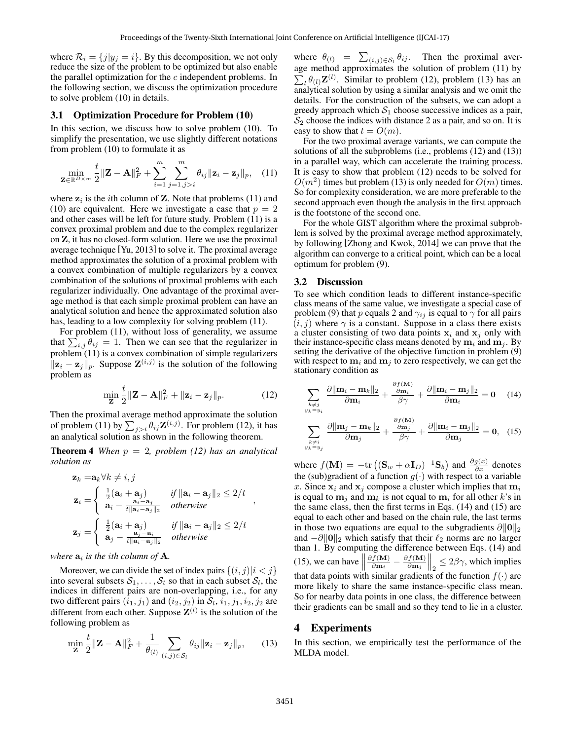where  $\mathcal{R}_i = \{j | y_i = i\}$ . By this decomposition, we not only reduce the size of the problem to be optimized but also enable the parallel optimization for the  $c$  independent problems. In the following section, we discuss the optimization procedure to solve problem (10) in details.

#### 3.1 Optimization Procedure for Problem (10)

In this section, we discuss how to solve problem (10). To simplify the presentation, we use slightly different notations from problem (10) to formulate it as

$$
\min_{\mathbf{Z} \in \mathbb{R}^{D \times m}} \frac{t}{2} \|\mathbf{Z} - \mathbf{A}\|_{F}^{2} + \sum_{i=1}^{m} \sum_{j=1, j>i}^{m} \theta_{ij} \|\mathbf{z}_{i} - \mathbf{z}_{j}\|_{p}, \quad (11)
$$

where  $z_i$  is the *i*th column of **Z**. Note that problems (11) and (10) are equivalent. Here we investigate a case that  $p = 2$ and other cases will be left for future study. Problem (11) is a convex proximal problem and due to the complex regularizer on Z, it has no closed-form solution. Here we use the proximal average technique [Yu, 2013] to solve it. The proximal average method approximates the solution of a proximal problem with a convex combination of multiple regularizers by a convex combination of the solutions of proximal problems with each regularizer individually. One advantage of the proximal average method is that each simple proximal problem can have an analytical solution and hence the approximated solution also has, leading to a low complexity for solving problem  $(11)$ .

For problem (11), without loss of generality, we assume that  $\sum_{i,j} \theta_{ij} = 1$ . Then we can see that the regularizer in problem (11) is a convex combination of simple regularizers  $||\mathbf{z}_i - \mathbf{z}_j||_p$ . Suppose  $\mathbf{Z}^{(i,j)}$  is the solution of the following problem as

$$
\min_{\mathbf{Z}} \frac{t}{2} \|\mathbf{Z} - \mathbf{A}\|_F^2 + \|\mathbf{z}_i - \mathbf{z}_j\|_p.
$$
 (12)

Then the proximal average method approximate the solution of problem (11) by  $\sum_{j>i} \theta_{ij} \mathbf{Z}^{(i,j)}$ . For problem (12), it has an analytical solution as shown in the following theorem.

**Theorem 4** *When*  $p = 2$ *, problem (12) has an analytical solution as*

$$
\mathbf{z}_{k} = \mathbf{a}_{k} \forall k \neq i, j
$$
\n
$$
\mathbf{z}_{i} = \begin{cases}\n\frac{1}{2} (\mathbf{a}_{i} + \mathbf{a}_{j}) & \text{if } ||\mathbf{a}_{i} - \mathbf{a}_{j}||_{2} \leq 2/t \\
\mathbf{a}_{i} - \frac{\mathbf{a}_{i} - \mathbf{a}_{j}}{t ||\mathbf{a}_{i} - \mathbf{a}_{j}||_{2}} & \text{otherwise}\n\end{cases},
$$
\n
$$
\mathbf{z}_{j} = \begin{cases}\n\frac{1}{2} (\mathbf{a}_{i} + \mathbf{a}_{j}) & \text{if } ||\mathbf{a}_{i} - \mathbf{a}_{j}||_{2} \leq 2/t \\
\mathbf{a}_{j} - \frac{\mathbf{a}_{j} - \mathbf{a}_{i}}{t ||\mathbf{a}_{i} - \mathbf{a}_{j}||_{2}} & \text{otherwise}\n\end{cases}
$$

### where  $a_i$  is the ith column of  $A_i$ .

Moreover, we can divide the set of index pairs  $\{(i, j)|i < j\}$ into several subsets  $S_1, \ldots, S_t$  so that in each subset  $S_l$ , the indices in different pairs are non-overlapping, i.e., for any two different pairs  $(i_1, j_1)$  and  $(i_2, j_2)$  in  $\mathcal{S}_l$ ,  $i_1, j_1, i_2, j_2$  are different from each other. Suppose  $\mathbf{Z}^{(l)}$  is the solution of the following problem as

$$
\min_{\mathbf{Z}} \frac{t}{2} \|\mathbf{Z} - \mathbf{A}\|_F^2 + \frac{1}{\theta_{(l)}} \sum_{(i,j) \in \mathcal{S}_l} \theta_{ij} \|\mathbf{z}_i - \mathbf{z}_j\|_p, \qquad (13)
$$

where  $\theta_{(l)} = \sum_{(i,j) \in S_l} \theta_{ij}$ . Then the proximal average method approximates the solution of problem (11) by  $\sum_l \theta_{(l)} \mathbf{Z}^{(l)}$ . Similar to problem (12), problem (13) has an analytical solution by using a similar analysis and we omit the details. For the construction of the subsets, we can adopt a greedy approach which  $S_1$  choose successive indices as a pair,  $S_2$  choose the indices with distance 2 as a pair, and so on. It is easy to show that  $t = O(m)$ .

For the two proximal average variants, we can compute the solutions of all the subproblems (i.e., problems (12) and (13)) in a parallel way, which can accelerate the training process. It is easy to show that problem (12) needs to be solved for  $O(m^2)$  times but problem (13) is only needed for  $O(m)$  times. So for complexity consideration, we are more preferable to the second approach even though the analysis in the first approach is the footstone of the second one.

For the whole GIST algorithm where the proximal subproblem is solved by the proximal average method approximately, by following [Zhong and Kwok, 2014] we can prove that the algorithm can converge to a critical point, which can be a local optimum for problem (9).

### 3.2 Discussion

To see which condition leads to different instance-specific class means of the same value, we investigate a special case of problem (9) that p equals 2 and  $\gamma_{ij}$  is equal to  $\gamma$  for all pairs  $(i, j)$  where  $\gamma$  is a constant. Suppose in a class there exists a cluster consisting of two data points  $x_i$  and  $x_j$  only with their instance-specific class means denoted by  $m_i$  and  $m_j$ . By setting the derivative of the objective function in problem (9) with respect to  $m_i$  and  $m_j$  to zero respectively, we can get the stationary condition as

$$
\sum_{\substack{k \neq j \\ y_k = y_i}} \frac{\partial ||\mathbf{m}_i - \mathbf{m}_k||_2}{\partial \mathbf{m}_i} + \frac{\frac{\partial f(\mathbf{M})}{\partial \mathbf{m}_i}}{\beta \gamma} + \frac{\partial ||\mathbf{m}_i - \mathbf{m}_j||_2}{\partial \mathbf{m}_i} = \mathbf{0} \quad (14)
$$

$$
\sum_{\substack{k \neq i \\ y_k = y_j}} \frac{\partial ||\mathbf{m}_j - \mathbf{m}_k||_2}{\partial \mathbf{m}_j} + \frac{\frac{\partial f(\mathbf{M})}{\partial \mathbf{m}_j}}{\beta \gamma} + \frac{\partial ||\mathbf{m}_i - \mathbf{m}_j||_2}{\partial \mathbf{m}_j} = \mathbf{0}, \quad (15)
$$

where  $f(\mathbf{M}) = -\text{tr} \left( (\mathbf{S}_w + \alpha \mathbf{I}_D)^{-1} \mathbf{S}_b \right)$  and  $\frac{\partial g(x)}{\partial x}$  denotes the (sub)gradient of a function  $g(\cdot)$  with respect to a variable x. Since  $x_i$  and  $x_j$  compose a cluster which implies that  $m_i$ is equal to  $m_j$  and  $m_k$  is not equal to  $m_i$  for all other k's in the same class, then the first terms in Eqs. (14) and (15) are equal to each other and based on the chain rule, the last terms in those two equations are equal to the subgradients  $\partial \|\mathbf{0}\|_2$ and  $-\partial ||0||_2$  which satisfy that their  $\ell_2$  norms are no larger than 1. By computing the difference between Eqs. (14) and (15), we can have  $\parallel$  $\partial f(\textbf{M})$  $\frac{f(\mathbf{M})}{\partial \mathbf{m}_i} - \frac{\partial f(\mathbf{M})}{\partial \mathbf{m}_j}$  $\left\| \frac{f(M)}{\partial \mathbf{m}_j} \right\|_2 \leq 2\beta\gamma$ , which implies that data points with similar gradients of the function  $f(\cdot)$  are more likely to share the same instance-specific class mean. So for nearby data points in one class, the difference between their gradients can be small and so they tend to lie in a cluster.

#### 4 Experiments

In this section, we empirically test the performance of the MLDA model.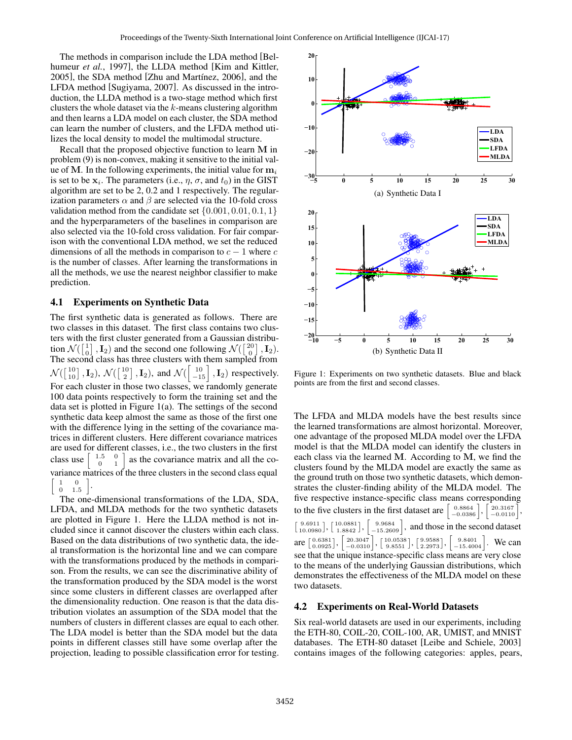The methods in comparison include the LDA method [Belhumeur *et al.*, 1997], the LLDA method [Kim and Kittler, 2005], the SDA method [Zhu and Martínez, 2006], and the LFDA method [Sugiyama, 2007]. As discussed in the introduction, the LLDA method is a two-stage method which first clusters the whole dataset via the k-means clustering algorithm and then learns a LDA model on each cluster, the SDA method can learn the number of clusters, and the LFDA method utilizes the local density to model the multimodal structure.

Recall that the proposed objective function to learn M in problem (9) is non-convex, making it sensitive to the initial value of M. In the following experiments, the initial value for  $m_i$ is set to be  $x_i$ . The parameters (i.e.,  $\eta$ ,  $\sigma$ , and  $t_0$ ) in the GIST algorithm are set to be 2, 0.2 and 1 respectively. The regularization parameters  $\alpha$  and  $\beta$  are selected via the 10-fold cross validation method from the candidate set  $\{0.001, 0.01, 0.1, 1\}$ and the hyperparameters of the baselines in comparison are also selected via the 10-fold cross validation. For fair comparison with the conventional LDA method, we set the reduced dimensions of all the methods in comparison to  $c - 1$  where c is the number of classes. After learning the transformations in all the methods, we use the nearest neighbor classifier to make prediction.

### 4.1 Experiments on Synthetic Data

The first synthetic data is generated as follows. There are two classes in this dataset. The first class contains two clusters with the first cluster generated from a Gaussian distribution  $\mathcal{N}(\begin{bmatrix} 1 \\ 0 \end{bmatrix}, \mathbf{I}_2)$  and the second one following  $\mathcal{N}(\begin{bmatrix} 20 \\ 0 \end{bmatrix}, \mathbf{I}_2)$ . The second class has three clusters with them sampled from  $\mathcal{N}(\begin{bmatrix} 10 \\ 10 \end{bmatrix}, \mathbf{I}_2)$ ,  $\mathcal{N}(\begin{bmatrix} 10 \\ 2 \end{bmatrix}, \mathbf{I}_2)$ , and  $\mathcal{N}(\begin{bmatrix} 10 \\ -15 \end{bmatrix}, \mathbf{I}_2)$  respectively. For each cluster in those two classes, we randomly generate 100 data points respectively to form the training set and the data set is plotted in Figure 1(a). The settings of the second synthetic data keep almost the same as those of the first one with the difference lying in the setting of the covariance matrices in different clusters. Here different covariance matrices are used for different classes, i.e., the two clusters in the first class use  $\begin{bmatrix} 1.5 & 0 \\ 0 & 1 \end{bmatrix}$ as the covariance matrix and all the covariance matrices of the three clusters in the second class equal  $\begin{bmatrix} 1 & 0 \end{bmatrix}$ ſ  $\begin{array}{cc} 1 & 0 \\ 0 & 1.5 \end{array}$ .

The one-dimensional transformations of the LDA, SDA, LFDA, and MLDA methods for the two synthetic datasets are plotted in Figure 1. Here the LLDA method is not included since it cannot discover the clusters within each class. Based on the data distributions of two synthetic data, the ideal transformation is the horizontal line and we can compare with the transformations produced by the methods in comparison. From the results, we can see the discriminative ability of the transformation produced by the SDA model is the worst since some clusters in different classes are overlapped after the dimensionality reduction. One reason is that the data distribution violates an assumption of the SDA model that the numbers of clusters in different classes are equal to each other. The LDA model is better than the SDA model but the data points in different classes still have some overlap after the projection, leading to possible classification error for testing.



Figure 1: Experiments on two synthetic datasets. Blue and black points are from the first and second classes.

The LFDA and MLDA models have the best results since the learned transformations are almost horizontal. Moreover, one advantage of the proposed MLDA model over the LFDA model is that the MLDA model can identify the clusters in each class via the learned M. According to M, we find the clusters found by the MLDA model are exactly the same as the ground truth on those two synthetic datasets, which demonstrates the cluster-finding ability of the MLDA model. The five respective instance-specific class means corresponding to the five clusters in the first dataset are  $\begin{bmatrix} 0.8864 \\ -0.0386 \end{bmatrix}$ ,  $\begin{bmatrix} 20.3167 \\ -0.0110 \end{bmatrix}$ ,  $\begin{bmatrix} 9.6911 \\ 10.0980 \end{bmatrix}, \begin{bmatrix} 10.0881 \\ 1.8842 \end{bmatrix},$ h 9.9684  $-15.2609$ , and those in the second dataset are  $\begin{bmatrix} 0.6381 \\ 0.0925 \end{bmatrix}$ ,  $\begin{bmatrix} 20.3047 \\ -0.0310 \end{bmatrix}$ ,  $\begin{bmatrix} 10.0538 \\ 9.8551 \end{bmatrix}$ ,  $\begin{bmatrix} 9.9588 \\ 2.2973 \end{bmatrix}$ ,  $\begin{bmatrix} 9.8401 \\ -15.4004 \end{bmatrix}$ . We can see that the unique instance-specific class means are very close to the means of the underlying Gaussian distributions, which demonstrates the effectiveness of the MLDA model on these two datasets.

### 4.2 Experiments on Real-World Datasets

Six real-world datasets are used in our experiments, including the ETH-80, COIL-20, COIL-100, AR, UMIST, and MNIST databases. The ETH-80 dataset [Leibe and Schiele, 2003] contains images of the following categories: apples, pears,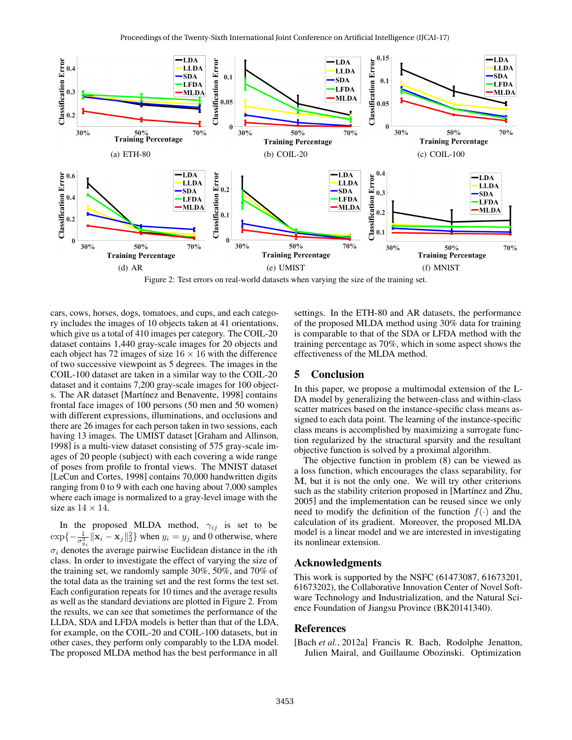

Figure 2: Test errors on real-world datasets when varying the size of the training set.

cars, cows, horses, dogs, tomatoes, and cups, and each category includes the images of 10 objects taken at 41 orientations, which give us a total of 410 images per category. The COIL-20 dataset contains 1,440 gray-scale images for 20 objects and each object has 72 images of size  $16 \times 16$  with the difference of two successive viewpoint as 5 degrees. The images in the COIL-100 dataset are taken in a similar way to the COIL-20 dataset and it contains 7,200 gray-scale images for 100 objects. The AR dataset [Martínez and Benavente, 1998] contains frontal face images of 100 persons (50 men and 50 women) with different expressions, illuminations, and occlusions and there are 26 images for each person taken in two sessions, each having 13 images. The UMIST dataset [Graham and Allinson, 1998] is a multi-view dataset consisting of 575 gray-scale images of 20 people (subject) with each covering a wide range of poses from profile to frontal views. The MNIST dataset [LeCun and Cortes, 1998] contains 70,000 handwritten digits ranging from 0 to 9 with each one having about 7,000 samples where each image is normalized to a gray-level image with the size as  $14 \times 14$ .

In the proposed MLDA method,  $\gamma_{ij}$  is set to be  $\exp\{-\frac{1}{\sigma_{y_i}^2} \|\mathbf{x}_i - \mathbf{x}_j\|_2^2\}$  when  $y_i = y_j$  and 0 otherwise, where  $\sigma_i$  denotes the average pairwise Euclidean distance in the *i*th class. In order to investigate the effect of varying the size of the training set, we randomly sample 30%, 50%, and 70% of the total data as the training set and the rest forms the test set. Each configuration repeats for 10 times and the average results as well as the standard deviations are plotted in Figure 2. From the results, we can see that sometimes the performance of the LLDA, SDA and LFDA models is better than that of the LDA, for example, on the COIL-20 and COIL-100 datasets, but in other cases, they perform only comparably to the LDA model. The proposed MLDA method has the best performance in all

settings. In the ETH-80 and AR datasets, the performance of the proposed MLDA method using 30% data for training is comparable to that of the SDA or LFDA method with the training percentage as 70%, which in some aspect shows the effectiveness of the MLDA method.

### 5 Conclusion

In this paper, we propose a multimodal extension of the L-DA model by generalizing the between-class and within-class scatter matrices based on the instance-specific class means assigned to each data point. The learning of the instance-specific class means is accomplished by maximizing a surrogate function regularized by the structural sparsity and the resultant objective function is solved by a proximal algorithm.

The objective function in problem (8) can be viewed as a loss function, which encourages the class separability, for M, but it is not the only one. We will try other criterions such as the stability criterion proposed in [Martínez and Zhu, 2005] and the implementation can be reused since we only need to modify the definition of the function  $f(\cdot)$  and the calculation of its gradient. Moreover, the proposed MLDA model is a linear model and we are interested in investigating its nonlinear extension.

### Acknowledgments

This work is supported by the NSFC (61473087, 61673201, 61673202), the Collaborative Innovation Center of Novel Software Technology and Industrialization, and the Natural Science Foundation of Jiangsu Province (BK20141340).

### References

[Bach *et al.*, 2012a] Francis R. Bach, Rodolphe Jenatton, Julien Mairal, and Guillaume Obozinski. Optimization